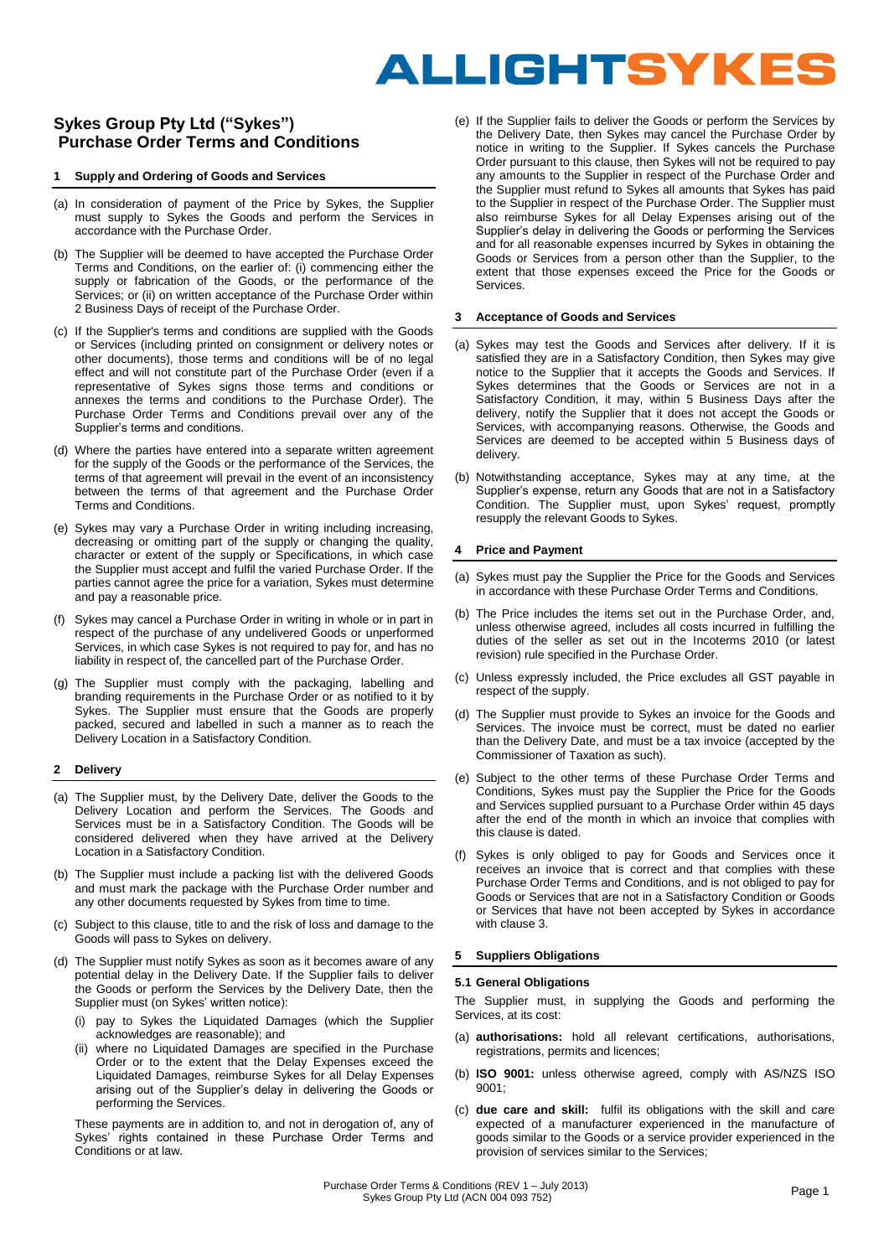# ALLIGHTSYKES

# **Sykes Group Pty Ltd ("Sykes") Purchase Order Terms and Conditions**

# **1 Supply and Ordering of Goods and Services**

- (a) In consideration of payment of the Price by Sykes, the Supplier must supply to Sykes the Goods and perform the Services in accordance with the Purchase Order.
- (b) The Supplier will be deemed to have accepted the Purchase Order Terms and Conditions, on the earlier of: (i) commencing either the supply or fabrication of the Goods, or the performance of the Services: or (ii) on written acceptance of the Purchase Order within 2 Business Days of receipt of the Purchase Order.
- (c) If the Supplier's terms and conditions are supplied with the Goods or Services (including printed on consignment or delivery notes or other documents), those terms and conditions will be of no legal effect and will not constitute part of the Purchase Order (even if a representative of Sykes signs those terms and conditions or annexes the terms and conditions to the Purchase Order). The Purchase Order Terms and Conditions prevail over any of the Supplier's terms and conditions.
- (d) Where the parties have entered into a separate written agreement for the supply of the Goods or the performance of the Services, the terms of that agreement will prevail in the event of an inconsistency between the terms of that agreement and the Purchase Order Terms and Conditions.
- (e) Sykes may vary a Purchase Order in writing including increasing, decreasing or omitting part of the supply or changing the quality, character or extent of the supply or Specifications, in which case the Supplier must accept and fulfil the varied Purchase Order. If the parties cannot agree the price for a variation, Sykes must determine and pay a reasonable price.
- (f) Sykes may cancel a Purchase Order in writing in whole or in part in respect of the purchase of any undelivered Goods or unperformed Services, in which case Sykes is not required to pay for, and has no liability in respect of, the cancelled part of the Purchase Order.
- (g) The Supplier must comply with the packaging, labelling and branding requirements in the Purchase Order or as notified to it by Sykes. The Supplier must ensure that the Goods are properly packed, secured and labelled in such a manner as to reach the Delivery Location in a Satisfactory Condition.

# **2 Delivery**

- (a) The Supplier must, by the Delivery Date, deliver the Goods to the Delivery Location and perform the Services. The Goods and Services must be in a Satisfactory Condition. The Goods will be considered delivered when they have arrived at the Delivery Location in a Satisfactory Condition.
- (b) The Supplier must include a packing list with the delivered Goods and must mark the package with the Purchase Order number and any other documents requested by Sykes from time to time.
- (c) Subject to this clause, title to and the risk of loss and damage to the Goods will pass to Sykes on delivery.
- (d) The Supplier must notify Sykes as soon as it becomes aware of any potential delay in the Delivery Date. If the Supplier fails to deliver the Goods or perform the Services by the Delivery Date, then the Supplier must (on Sykes' written notice):
	- pay to Sykes the Liquidated Damages (which the Supplier acknowledges are reasonable); and
	- (ii) where no Liquidated Damages are specified in the Purchase Order or to the extent that the Delay Expenses exceed the Liquidated Damages, reimburse Sykes for all Delay Expenses arising out of the Supplier's delay in delivering the Goods or performing the Services.

These payments are in addition to, and not in derogation of, any of Sykes' rights contained in these Purchase Order Terms and Conditions or at law.

(e) If the Supplier fails to deliver the Goods or perform the Services by the Delivery Date, then Sykes may cancel the Purchase Order by notice in writing to the Supplier. If Sykes cancels the Purchase Order pursuant to this clause, then Sykes will not be required to pay any amounts to the Supplier in respect of the Purchase Order and the Supplier must refund to Sykes all amounts that Sykes has paid to the Supplier in respect of the Purchase Order. The Supplier must also reimburse Sykes for all Delay Expenses arising out of the Supplier's delay in delivering the Goods or performing the Services and for all reasonable expenses incurred by Sykes in obtaining the Goods or Services from a person other than the Supplier, to the extent that those expenses exceed the Price for the Goods or Services.

# **3 Acceptance of Goods and Services**

- (a) Sykes may test the Goods and Services after delivery. If it is satisfied they are in a Satisfactory Condition, then Sykes may give notice to the Supplier that it accepts the Goods and Services. If Sykes determines that the Goods or Services are not in a Satisfactory Condition, it may, within 5 Business Days after the delivery, notify the Supplier that it does not accept the Goods or Services, with accompanying reasons. Otherwise, the Goods and Services are deemed to be accepted within 5 Business days of delivery.
- (b) Notwithstanding acceptance, Sykes may at any time, at the Supplier's expense, return any Goods that are not in a Satisfactory Condition. The Supplier must, upon Sykes' request, promptly resupply the relevant Goods to Sykes.

# **4 Price and Payment**

- (a) Sykes must pay the Supplier the Price for the Goods and Services in accordance with these Purchase Order Terms and Conditions.
- (b) The Price includes the items set out in the Purchase Order, and, unless otherwise agreed, includes all costs incurred in fulfilling the duties of the seller as set out in the Incoterms 2010 (or latest revision) rule specified in the Purchase Order.
- (c) Unless expressly included, the Price excludes all GST payable in respect of the supply.
- (d) The Supplier must provide to Sykes an invoice for the Goods and Services. The invoice must be correct, must be dated no earlier than the Delivery Date, and must be a tax invoice (accepted by the Commissioner of Taxation as such).
- (e) Subject to the other terms of these Purchase Order Terms and Conditions, Sykes must pay the Supplier the Price for the Goods and Services supplied pursuant to a Purchase Order within 45 days after the end of the month in which an invoice that complies with this clause is dated.
- (f) Sykes is only obliged to pay for Goods and Services once it receives an invoice that is correct and that complies with these Purchase Order Terms and Conditions, and is not obliged to pay for Goods or Services that are not in a Satisfactory Condition or Goods or Services that have not been accepted by Sykes in accordance with clause 3.

# **5 Suppliers Obligations**

# **5.1 General Obligations**

The Supplier must, in supplying the Goods and performing the Services, at its cost:

- (a) **authorisations:** hold all relevant certifications, authorisations, registrations, permits and licences;
- (b) **ISO 9001:** unless otherwise agreed, comply with AS/NZS ISO 9001;
- (c) **due care and skill:** fulfil its obligations with the skill and care expected of a manufacturer experienced in the manufacture of goods similar to the Goods or a service provider experienced in the provision of services similar to the Services;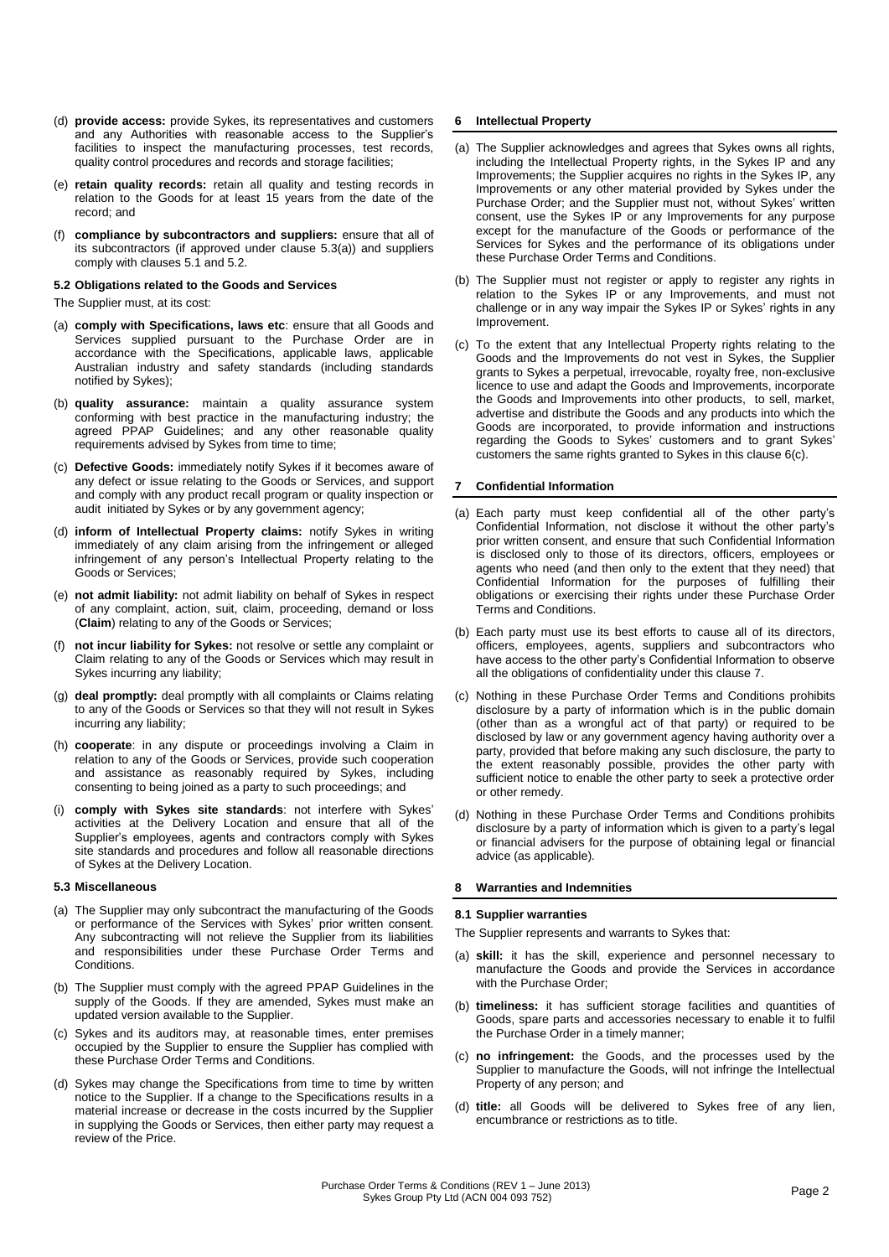- (d) **provide access:** provide Sykes, its representatives and customers and any Authorities with reasonable access to the Supplier's facilities to inspect the manufacturing processes, test records, quality control procedures and records and storage facilities;
- (e) **retain quality records:** retain all quality and testing records in relation to the Goods for at least 15 years from the date of the record; and
- (f) **compliance by subcontractors and suppliers:** ensure that all of its subcontractors (if approved under clause 5.3(a)) and suppliers comply with clauses 5.1 and 5.2.

### **5.2 Obligations related to the Goods and Services**

The Supplier must, at its cost:

- (a) **comply with Specifications, laws etc**: ensure that all Goods and Services supplied pursuant to the Purchase Order are in accordance with the Specifications, applicable laws, applicable Australian industry and safety standards (including standards notified by Sykes);
- (b) **quality assurance:** maintain a quality assurance system conforming with best practice in the manufacturing industry; the agreed PPAP Guidelines; and any other reasonable quality requirements advised by Sykes from time to time;
- (c) **Defective Goods:** immediately notify Sykes if it becomes aware of any defect or issue relating to the Goods or Services, and support and comply with any product recall program or quality inspection or audit initiated by Sykes or by any government agency;
- (d) **inform of Intellectual Property claims:** notify Sykes in writing immediately of any claim arising from the infringement or alleged infringement of any person's Intellectual Property relating to the Goods or Services;
- (e) **not admit liability:** not admit liability on behalf of Sykes in respect of any complaint, action, suit, claim, proceeding, demand or loss (**Claim**) relating to any of the Goods or Services;
- (f) **not incur liability for Sykes:** not resolve or settle any complaint or Claim relating to any of the Goods or Services which may result in Sykes incurring any liability;
- (g) **deal promptly:** deal promptly with all complaints or Claims relating to any of the Goods or Services so that they will not result in Sykes incurring any liability;
- (h) **cooperate**: in any dispute or proceedings involving a Claim in relation to any of the Goods or Services, provide such cooperation and assistance as reasonably required by Sykes, including consenting to being joined as a party to such proceedings; and
- (i) **comply with Sykes site standards**: not interfere with Sykes' activities at the Delivery Location and ensure that all of the Supplier's employees, agents and contractors comply with Sykes site standards and procedures and follow all reasonable directions of Sykes at the Delivery Location.

#### **5.3 Miscellaneous**

- (a) The Supplier may only subcontract the manufacturing of the Goods or performance of the Services with Sykes' prior written consent. Any subcontracting will not relieve the Supplier from its liabilities and responsibilities under these Purchase Order Terms and **Conditions**
- (b) The Supplier must comply with the agreed PPAP Guidelines in the supply of the Goods. If they are amended, Sykes must make an updated version available to the Supplier.
- (c) Sykes and its auditors may, at reasonable times, enter premises occupied by the Supplier to ensure the Supplier has complied with these Purchase Order Terms and Conditions.
- (d) Sykes may change the Specifications from time to time by written notice to the Supplier. If a change to the Specifications results in a material increase or decrease in the costs incurred by the Supplier in supplying the Goods or Services, then either party may request a review of the Price.

# **6 Intellectual Property**

- (a) The Supplier acknowledges and agrees that Sykes owns all rights, including the Intellectual Property rights, in the Sykes IP and any Improvements; the Supplier acquires no rights in the Sykes IP, any Improvements or any other material provided by Sykes under the Purchase Order; and the Supplier must not, without Sykes' written consent, use the Sykes IP or any Improvements for any purpose except for the manufacture of the Goods or performance of the Services for Sykes and the performance of its obligations under these Purchase Order Terms and Conditions.
- (b) The Supplier must not register or apply to register any rights in relation to the Sykes IP or any Improvements, and must not challenge or in any way impair the Sykes IP or Sykes' rights in any Improvement.
- (c) To the extent that any Intellectual Property rights relating to the Goods and the Improvements do not vest in Sykes, the Supplier grants to Sykes a perpetual, irrevocable, royalty free, non-exclusive licence to use and adapt the Goods and Improvements, incorporate the Goods and Improvements into other products, to sell, market, advertise and distribute the Goods and any products into which the Goods are incorporated, to provide information and instructions regarding the Goods to Sykes' customers and to grant Sykes' customers the same rights granted to Sykes in this clause 6(c).

# **7 Confidential Information**

- (a) Each party must keep confidential all of the other party's Confidential Information, not disclose it without the other party's prior written consent, and ensure that such Confidential Information is disclosed only to those of its directors, officers, employees or agents who need (and then only to the extent that they need) that Confidential Information for the purposes of fulfilling their obligations or exercising their rights under these Purchase Order Terms and Conditions.
- (b) Each party must use its best efforts to cause all of its directors, officers, employees, agents, suppliers and subcontractors who have access to the other party's Confidential Information to observe all the obligations of confidentiality under this clause 7.
- (c) Nothing in these Purchase Order Terms and Conditions prohibits disclosure by a party of information which is in the public domain (other than as a wrongful act of that party) or required to be disclosed by law or any government agency having authority over a party, provided that before making any such disclosure, the party to the extent reasonably possible, provides the other party with sufficient notice to enable the other party to seek a protective order or other remedy.
- (d) Nothing in these Purchase Order Terms and Conditions prohibits disclosure by a party of information which is given to a party's legal or financial advisers for the purpose of obtaining legal or financial advice (as applicable).

# **8 Warranties and Indemnities**

#### **8.1 Supplier warranties**

The Supplier represents and warrants to Sykes that:

- (a) **skill:** it has the skill, experience and personnel necessary to manufacture the Goods and provide the Services in accordance with the Purchase Order:
- (b) **timeliness:** it has sufficient storage facilities and quantities of Goods, spare parts and accessories necessary to enable it to fulfil the Purchase Order in a timely manner;
- (c) **no infringement:** the Goods, and the processes used by the Supplier to manufacture the Goods, will not infringe the Intellectual Property of any person; and
- (d) **title:** all Goods will be delivered to Sykes free of any lien, encumbrance or restrictions as to title.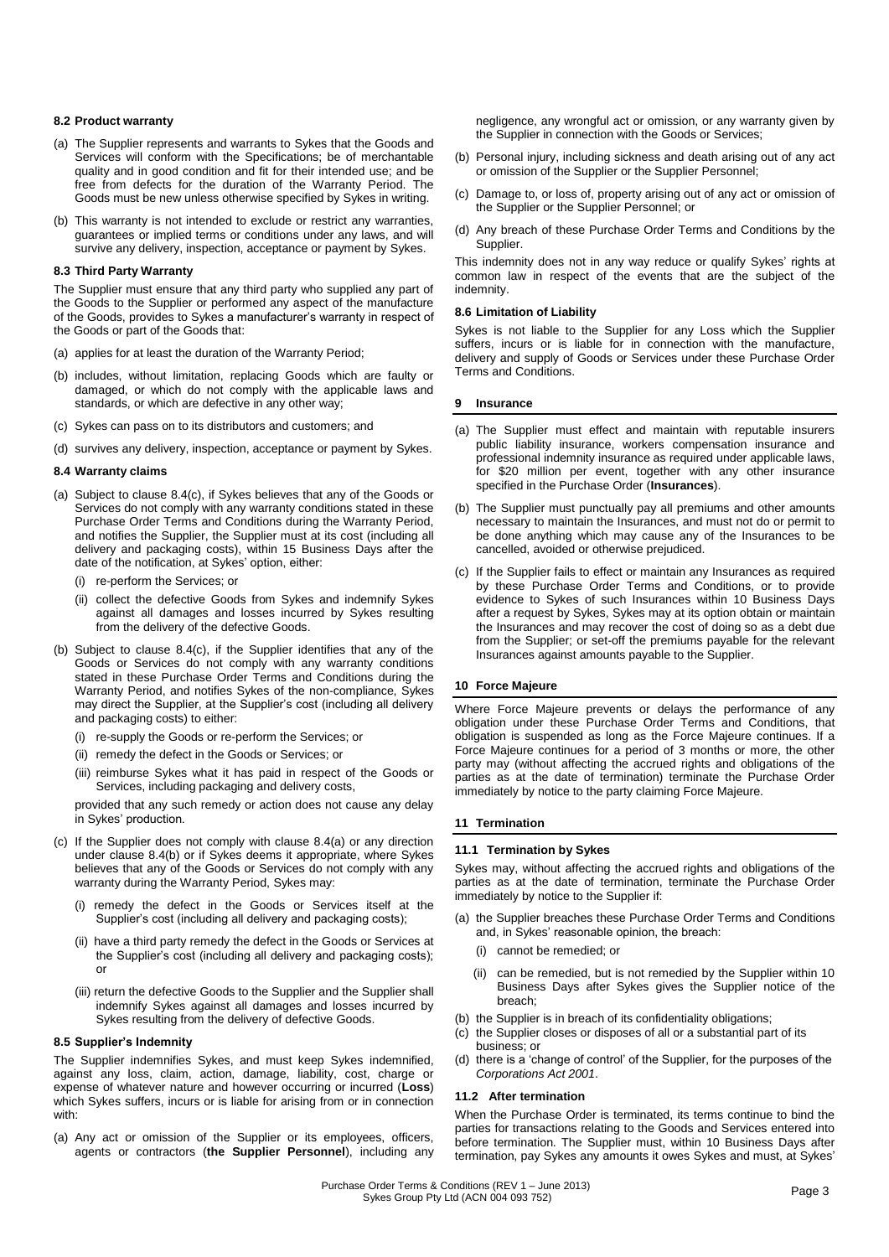# **8.2 Product warranty**

- (a) The Supplier represents and warrants to Sykes that the Goods and Services will conform with the Specifications; be of merchantable quality and in good condition and fit for their intended use; and be free from defects for the duration of the Warranty Period. The Goods must be new unless otherwise specified by Sykes in writing.
- (b) This warranty is not intended to exclude or restrict any warranties, guarantees or implied terms or conditions under any laws, and will survive any delivery, inspection, acceptance or payment by Sykes.

#### **8.3 Third Party Warranty**

The Supplier must ensure that any third party who supplied any part of the Goods to the Supplier or performed any aspect of the manufacture of the Goods, provides to Sykes a manufacturer's warranty in respect of the Goods or part of the Goods that:

- (a) applies for at least the duration of the Warranty Period;
- (b) includes, without limitation, replacing Goods which are faulty or damaged, or which do not comply with the applicable laws and standards, or which are defective in any other way;
- (c) Sykes can pass on to its distributors and customers; and
- (d) survives any delivery, inspection, acceptance or payment by Sykes.

#### **8.4 Warranty claims**

- (a) Subject to clause 8.4(c), if Sykes believes that any of the Goods or Services do not comply with any warranty conditions stated in these Purchase Order Terms and Conditions during the Warranty Period, and notifies the Supplier, the Supplier must at its cost (including all delivery and packaging costs), within 15 Business Days after the date of the notification, at Sykes' option, either:
	- (i) re-perform the Services; or
	- (ii) collect the defective Goods from Sykes and indemnify Sykes against all damages and losses incurred by Sykes resulting from the delivery of the defective Goods.
- (b) Subject to clause 8.4(c), if the Supplier identifies that any of the Goods or Services do not comply with any warranty conditions stated in these Purchase Order Terms and Conditions during the Warranty Period, and notifies Sykes of the non-compliance, Sykes may direct the Supplier, at the Supplier's cost (including all delivery and packaging costs) to either:
	- (i) re-supply the Goods or re-perform the Services; or
	- (ii) remedy the defect in the Goods or Services; or
	- (iii) reimburse Sykes what it has paid in respect of the Goods or Services, including packaging and delivery costs,

provided that any such remedy or action does not cause any delay in Sykes' production.

- (c) If the Supplier does not comply with clause 8.4(a) or any direction under clause 8.4(b) or if Sykes deems it appropriate, where Sykes believes that any of the Goods or Services do not comply with any warranty during the Warranty Period, Sykes may:
	- (i) remedy the defect in the Goods or Services itself at the Supplier's cost (including all delivery and packaging costs);
	- (ii) have a third party remedy the defect in the Goods or Services at the Supplier's cost (including all delivery and packaging costs); or
	- (iii) return the defective Goods to the Supplier and the Supplier shall indemnify Sykes against all damages and losses incurred by Sykes resulting from the delivery of defective Goods.

#### **8.5 Supplier's Indemnity**

The Supplier indemnifies Sykes, and must keep Sykes indemnified, against any loss, claim, action, damage, liability, cost, charge or expense of whatever nature and however occurring or incurred (**Loss**) which Sykes suffers, incurs or is liable for arising from or in connection with:

(a) Any act or omission of the Supplier or its employees, officers, agents or contractors (**the Supplier Personnel**), including any negligence, any wrongful act or omission, or any warranty given by the Supplier in connection with the Goods or Services;

- (b) Personal injury, including sickness and death arising out of any act or omission of the Supplier or the Supplier Personnel;
- (c) Damage to, or loss of, property arising out of any act or omission of the Supplier or the Supplier Personnel; or
- (d) Any breach of these Purchase Order Terms and Conditions by the Supplier.

This indemnity does not in any way reduce or qualify Sykes' rights at common law in respect of the events that are the subject of the indemnity.

#### **8.6 Limitation of Liability**

Sykes is not liable to the Supplier for any Loss which the Supplier suffers, incurs or is liable for in connection with the manufacture, delivery and supply of Goods or Services under these Purchase Order Terms and Conditions.

#### **9 Insurance**

- (a) The Supplier must effect and maintain with reputable insurers public liability insurance, workers compensation insurance and professional indemnity insurance as required under applicable laws, for \$20 million per event, together with any other insurance specified in the Purchase Order (**Insurances**).
- (b) The Supplier must punctually pay all premiums and other amounts necessary to maintain the Insurances, and must not do or permit to be done anything which may cause any of the Insurances to be cancelled, avoided or otherwise prejudiced.
- (c) If the Supplier fails to effect or maintain any Insurances as required by these Purchase Order Terms and Conditions, or to provide evidence to Sykes of such Insurances within 10 Business Days after a request by Sykes, Sykes may at its option obtain or maintain the Insurances and may recover the cost of doing so as a debt due from the Supplier; or set-off the premiums payable for the relevant Insurances against amounts payable to the Supplier.

# **10 Force Majeure**

Where Force Majeure prevents or delays the performance of any obligation under these Purchase Order Terms and Conditions, that obligation is suspended as long as the Force Majeure continues. If a Force Majeure continues for a period of 3 months or more, the other party may (without affecting the accrued rights and obligations of the parties as at the date of termination) terminate the Purchase Order immediately by notice to the party claiming Force Majeure.

# **11 Termination**

#### **11.1 Termination by Sykes**

Sykes may, without affecting the accrued rights and obligations of the parties as at the date of termination, terminate the Purchase Order immediately by notice to the Supplier if:

- (a) the Supplier breaches these Purchase Order Terms and Conditions and, in Sykes' reasonable opinion, the breach:
	- (i) cannot be remedied; or
	- (ii) can be remedied, but is not remedied by the Supplier within 10 Business Days after Sykes gives the Supplier notice of the breach;
- (b) the Supplier is in breach of its confidentiality obligations;
- (c) the Supplier closes or disposes of all or a substantial part of its business; or
- (d) there is a 'change of control' of the Supplier, for the purposes of the *Corporations Act 2001*.

#### **11.2 After termination**

When the Purchase Order is terminated, its terms continue to bind the parties for transactions relating to the Goods and Services entered into before termination. The Supplier must, within 10 Business Days after termination, pay Sykes any amounts it owes Sykes and must, at Sykes'